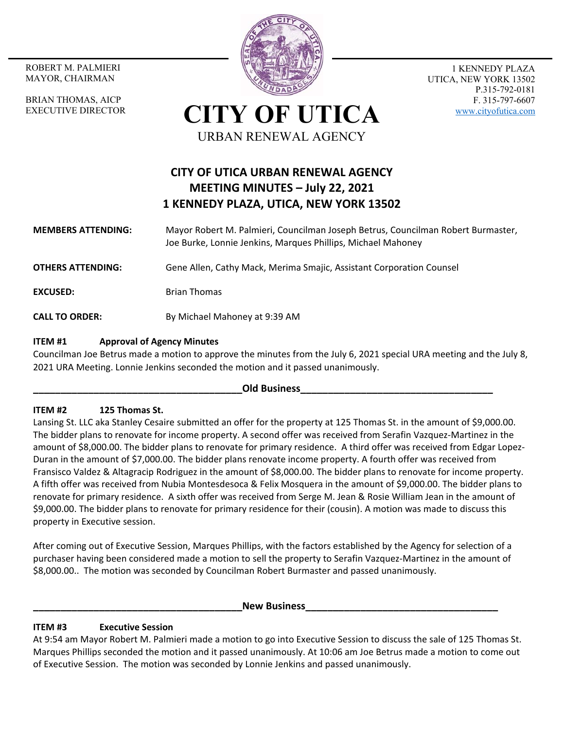MAYOR, CHAIRMAN

BRIAN THOMAS, AICP EXECUTIVE DIRECTOR



1 KENNEDY PLAZA UTICA, NEW YORK 13502 P.315-792-0181 F. 315-797-6607 www.cityofutica.com

**CITY OF UTICA** URBAN RENEWAL AGENCY

# **CITY OF UTICA URBAN RENEWAL AGENCY MEETING MINUTES – July 22, 2021 1 KENNEDY PLAZA, UTICA, NEW YORK 13502**

- **MEMBERS ATTENDING:**  Mayor Robert M. Palmieri, Councilman Joseph Betrus, Councilman Robert Burmaster, Joe Burke, Lonnie Jenkins, Marques Phillips, Michael Mahoney
- **OTHERS ATTENDING:** Gene Allen, Cathy Mack, Merima Smajic, Assistant Corporation Counsel
- **EXCUSED:** Brian Thomas
- **CALL TO ORDER:** By Michael Mahoney at 9:39 AM

# **ITEM #1 Approval of Agency Minutes**

Councilman Joe Betrus made a motion to approve the minutes from the July 6, 2021 special URA meeting and the July 8, 2021 URA Meeting. Lonnie Jenkins seconded the motion and it passed unanimously.

## **\_\_\_\_\_\_\_\_\_\_\_\_\_\_\_\_\_\_\_\_\_\_\_\_\_\_\_\_\_\_\_\_\_\_\_\_\_\_Old Business\_\_\_\_\_\_\_\_\_\_\_\_\_\_\_\_\_\_\_\_\_\_\_\_\_\_\_\_\_\_\_\_\_\_\_**

# **ITEM #2 125 Thomas St.**

Lansing St. LLC aka Stanley Cesaire submitted an offer for the property at 125 Thomas St. in the amount of \$9,000.00. The bidder plans to renovate for income property. A second offer was received from Serafin Vazquez-Martinez in the amount of \$8,000.00. The bidder plans to renovate for primary residence. A third offer was received from Edgar Lopez-Duran in the amount of \$7,000.00. The bidder plans renovate income property. A fourth offer was received from Fransisco Valdez & Altagracip Rodriguez in the amount of \$8,000.00. The bidder plans to renovate for income property. A fifth offer was received from Nubia Montesdesoca & Felix Mosquera in the amount of \$9,000.00. The bidder plans to renovate for primary residence. A sixth offer was received from Serge M. Jean & Rosie William Jean in the amount of \$9,000.00. The bidder plans to renovate for primary residence for their (cousin). A motion was made to discuss this property in Executive session.

After coming out of Executive Session, Marques Phillips, with the factors established by the Agency for selection of a purchaser having been considered made a motion to sell the property to Serafin Vazquez‐Martinez in the amount of \$8,000.00.. The motion was seconded by Councilman Robert Burmaster and passed unanimously.

## **\_\_\_\_\_\_\_\_\_\_\_\_\_\_\_\_\_\_\_\_\_\_\_\_\_\_\_\_\_\_\_\_\_\_\_\_\_\_New Business\_\_\_\_\_\_\_\_\_\_\_\_\_\_\_\_\_\_\_\_\_\_\_\_\_\_\_\_\_\_\_\_\_\_\_**

# **ITEM #3 Executive Session**

At 9:54 am Mayor Robert M. Palmieri made a motion to go into Executive Session to discuss the sale of 125 Thomas St. Marques Phillips seconded the motion and it passed unanimously. At 10:06 am Joe Betrus made a motion to come out of Executive Session. The motion was seconded by Lonnie Jenkins and passed unanimously.